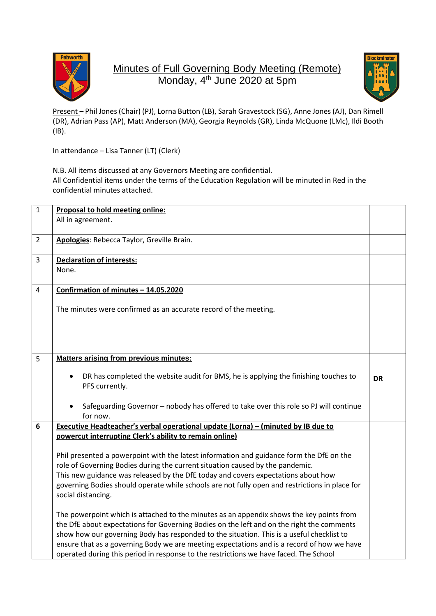

## Minutes of Full Governing Body Meeting (Remote) Monday, 4<sup>th</sup> June 2020 at 5pm



Present – Phil Jones (Chair) (PJ), Lorna Button (LB), Sarah Gravestock (SG), Anne Jones (AJ), Dan Rimell (DR), Adrian Pass (AP), Matt Anderson (MA), Georgia Reynolds (GR), Linda McQuone (LMc), Ildi Booth (IB).

In attendance – Lisa Tanner (LT) (Clerk)

N.B. All items discussed at any Governors Meeting are confidential. All Confidential items under the terms of the Education Regulation will be minuted in Red in the confidential minutes attached.

| $\mathbf{1}$   | Proposal to hold meeting online:                                                               |           |
|----------------|------------------------------------------------------------------------------------------------|-----------|
|                | All in agreement.                                                                              |           |
|                |                                                                                                |           |
| $\overline{2}$ | Apologies: Rebecca Taylor, Greville Brain.                                                     |           |
| 3              | <b>Declaration of interests:</b>                                                               |           |
|                | None.                                                                                          |           |
|                |                                                                                                |           |
| 4              | Confirmation of minutes - 14.05.2020                                                           |           |
|                |                                                                                                |           |
|                | The minutes were confirmed as an accurate record of the meeting.                               |           |
|                |                                                                                                |           |
|                |                                                                                                |           |
|                |                                                                                                |           |
| 5              | <b>Matters arising from previous minutes:</b>                                                  |           |
|                |                                                                                                |           |
|                | DR has completed the website audit for BMS, he is applying the finishing touches to            | <b>DR</b> |
|                | PFS currently.                                                                                 |           |
|                |                                                                                                |           |
|                | Safeguarding Governor - nobody has offered to take over this role so PJ will continue          |           |
|                | for now.                                                                                       |           |
| 6              | Executive Headteacher's verbal operational update (Lorna) - (minuted by IB due to              |           |
|                | powercut interrupting Clerk's ability to remain online)                                        |           |
|                | Phil presented a powerpoint with the latest information and guidance form the DfE on the       |           |
|                | role of Governing Bodies during the current situation caused by the pandemic.                  |           |
|                | This new guidance was released by the DfE today and covers expectations about how              |           |
|                | governing Bodies should operate while schools are not fully open and restrictions in place for |           |
|                | social distancing.                                                                             |           |
|                |                                                                                                |           |
|                | The powerpoint which is attached to the minutes as an appendix shows the key points from       |           |
|                | the DfE about expectations for Governing Bodies on the left and on the right the comments      |           |
|                | show how our governing Body has responded to the situation. This is a useful checklist to      |           |
|                | ensure that as a governing Body we are meeting expectations and is a record of how we have     |           |
|                | operated during this period in response to the restrictions we have faced. The School          |           |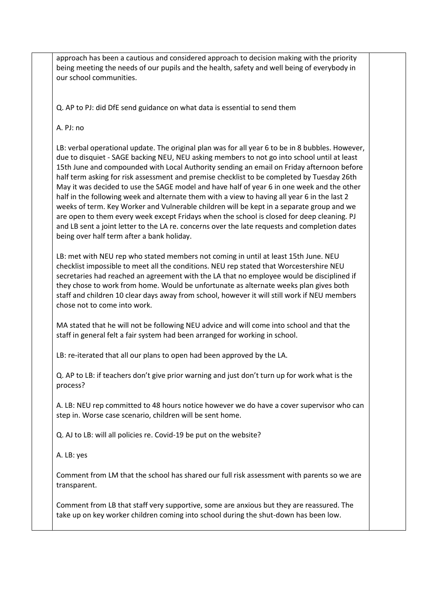approach has been a cautious and considered approach to decision making with the priority being meeting the needs of our pupils and the health, safety and well being of everybody in our school communities.

Q. AP to PJ: did DfE send guidance on what data is essential to send them

A. PJ: no

LB: verbal operational update. The original plan was for all year 6 to be in 8 bubbles. However, due to disquiet - SAGE backing NEU, NEU asking members to not go into school until at least 15th June and compounded with Local Authority sending an email on Friday afternoon before half term asking for risk assessment and premise checklist to be completed by Tuesday 26th May it was decided to use the SAGE model and have half of year 6 in one week and the other half in the following week and alternate them with a view to having all year 6 in the last 2 weeks of term. Key Worker and Vulnerable children will be kept in a separate group and we are open to them every week except Fridays when the school is closed for deep cleaning. PJ and LB sent a joint letter to the LA re. concerns over the late requests and completion dates being over half term after a bank holiday.

LB: met with NEU rep who stated members not coming in until at least 15th June. NEU checklist impossible to meet all the conditions. NEU rep stated that Worcestershire NEU secretaries had reached an agreement with the LA that no employee would be disciplined if they chose to work from home. Would be unfortunate as alternate weeks plan gives both staff and children 10 clear days away from school, however it will still work if NEU members chose not to come into work.

MA stated that he will not be following NEU advice and will come into school and that the staff in general felt a fair system had been arranged for working in school.

LB: re-iterated that all our plans to open had been approved by the LA.

Q. AP to LB: if teachers don't give prior warning and just don't turn up for work what is the process?

A. LB: NEU rep committed to 48 hours notice however we do have a cover supervisor who can step in. Worse case scenario, children will be sent home.

Q. AJ to LB: will all policies re. Covid-19 be put on the website?

A. LB: yes

Comment from LM that the school has shared our full risk assessment with parents so we are transparent.

Comment from LB that staff very supportive, some are anxious but they are reassured. The take up on key worker children coming into school during the shut-down has been low.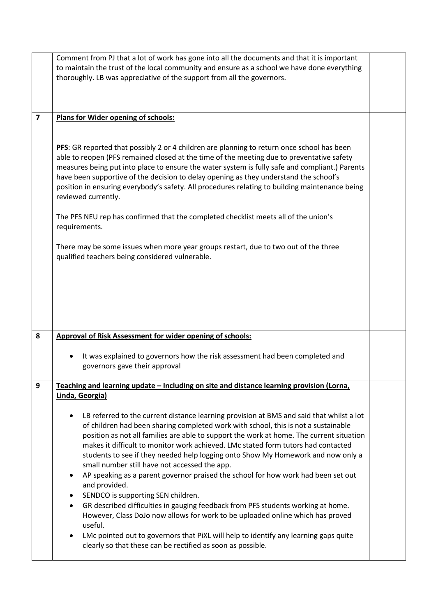|                         | Comment from PJ that a lot of work has gone into all the documents and that it is important<br>to maintain the trust of the local community and ensure as a school we have done everything<br>thoroughly. LB was appreciative of the support from all the governors.                                                                                                                                                                                                                                                                                                                                                                                                                                                                                                                                                                                                                                                                                                                                  |  |
|-------------------------|-------------------------------------------------------------------------------------------------------------------------------------------------------------------------------------------------------------------------------------------------------------------------------------------------------------------------------------------------------------------------------------------------------------------------------------------------------------------------------------------------------------------------------------------------------------------------------------------------------------------------------------------------------------------------------------------------------------------------------------------------------------------------------------------------------------------------------------------------------------------------------------------------------------------------------------------------------------------------------------------------------|--|
|                         |                                                                                                                                                                                                                                                                                                                                                                                                                                                                                                                                                                                                                                                                                                                                                                                                                                                                                                                                                                                                       |  |
| $\overline{\mathbf{z}}$ | Plans for Wider opening of schools:                                                                                                                                                                                                                                                                                                                                                                                                                                                                                                                                                                                                                                                                                                                                                                                                                                                                                                                                                                   |  |
|                         | PFS: GR reported that possibly 2 or 4 children are planning to return once school has been<br>able to reopen (PFS remained closed at the time of the meeting due to preventative safety<br>measures being put into place to ensure the water system is fully safe and compliant.) Parents<br>have been supportive of the decision to delay opening as they understand the school's<br>position in ensuring everybody's safety. All procedures relating to building maintenance being<br>reviewed currently.                                                                                                                                                                                                                                                                                                                                                                                                                                                                                           |  |
|                         | The PFS NEU rep has confirmed that the completed checklist meets all of the union's<br>requirements.                                                                                                                                                                                                                                                                                                                                                                                                                                                                                                                                                                                                                                                                                                                                                                                                                                                                                                  |  |
|                         | There may be some issues when more year groups restart, due to two out of the three<br>qualified teachers being considered vulnerable.                                                                                                                                                                                                                                                                                                                                                                                                                                                                                                                                                                                                                                                                                                                                                                                                                                                                |  |
| 8                       | <b>Approval of Risk Assessment for wider opening of schools:</b>                                                                                                                                                                                                                                                                                                                                                                                                                                                                                                                                                                                                                                                                                                                                                                                                                                                                                                                                      |  |
|                         | It was explained to governors how the risk assessment had been completed and<br>governors gave their approval                                                                                                                                                                                                                                                                                                                                                                                                                                                                                                                                                                                                                                                                                                                                                                                                                                                                                         |  |
| 9                       | Teaching and learning update - Including on site and distance learning provision (Lorna,<br>Linda, Georgia)                                                                                                                                                                                                                                                                                                                                                                                                                                                                                                                                                                                                                                                                                                                                                                                                                                                                                           |  |
|                         | LB referred to the current distance learning provision at BMS and said that whilst a lot<br>of children had been sharing completed work with school, this is not a sustainable<br>position as not all families are able to support the work at home. The current situation<br>makes it difficult to monitor work achieved. LMc stated form tutors had contacted<br>students to see if they needed help logging onto Show My Homework and now only a<br>small number still have not accessed the app.<br>AP speaking as a parent governor praised the school for how work had been set out<br>and provided.<br>SENDCO is supporting SEN children.<br>GR described difficulties in gauging feedback from PFS students working at home.<br>$\bullet$<br>However, Class DoJo now allows for work to be uploaded online which has proved<br>useful.<br>LMc pointed out to governors that PiXL will help to identify any learning gaps quite<br>clearly so that these can be rectified as soon as possible. |  |